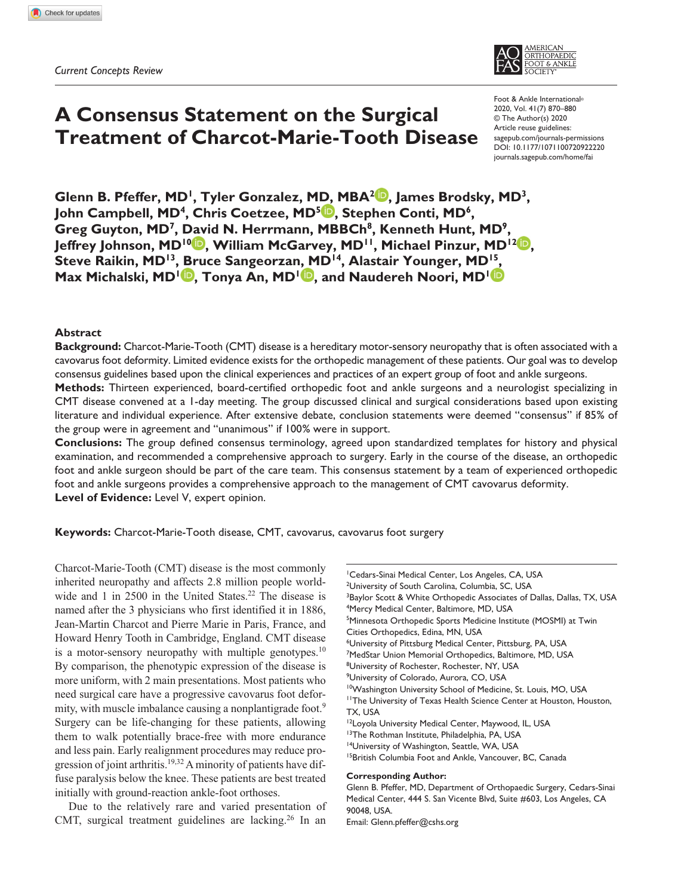*Current Concepts Review*



# **A Consensus Statement on the Surgical Treatment of Charcot-Marie-Tooth Disease**

https://doi.org/10.1177/1071100720922220 DOI: 10.1177/1071100720922220 Foot & Ankle International® 2020, Vol. 41(7) 870–880 © The Author(s) 2020 Article reuse guidelines: [sagepub.com/journals-permissions](https://us.sagepub.com/en-us/journals-permissions) [journals.sagepub.com/home/fai](https://journals.sagepub.com/home/fai)

Glenn B. Pfeffer, MD<sup>1</sup>, Tyler Gonzalez, MD, MBA<sup>2</sup><sup>D</sup>, James Brodsky, MD<sup>3</sup>, John Campbell, MD<sup>4</sup>, Chris Coetzee, MD<sup>5</sup><sup>(D</sup>, Stephen Conti, MD<sup>6</sup>, Greg Guyton, MD<sup>7</sup>, David N. Herrmann, MBBCh<sup>8</sup>, Kenneth Hunt, MD<sup>9</sup>, Jeffrey Johnson, MD<sup>10</sup><sup>[0</sup>, William McGarvey, MD<sup>11</sup>, Michael Pinzur, MD<sup>12</sup><sup>[0</sup>, Steve Raikin, MD<sup>13</sup>, Bruce Sangeorzan, MD<sup>14</sup>, Alastair Younger, MD<sup>15</sup>, **Max Michalski, MD<sup>1</sup><sup>(D</sup>), Tonya An, MD<sup>1</sup><sup>(D</sup>), and Naudereh Noori, MD<sup>1</sup><sup>(D</sup>)** 

### **Abstract**

**Background:** Charcot-Marie-Tooth (CMT) disease is a hereditary motor-sensory neuropathy that is often associated with a cavovarus foot deformity. Limited evidence exists for the orthopedic management of these patients. Our goal was to develop consensus guidelines based upon the clinical experiences and practices of an expert group of foot and ankle surgeons.

**Methods:** Thirteen experienced, board-certified orthopedic foot and ankle surgeons and a neurologist specializing in CMT disease convened at a 1-day meeting. The group discussed clinical and surgical considerations based upon existing literature and individual experience. After extensive debate, conclusion statements were deemed "consensus" if 85% of the group were in agreement and "unanimous" if 100% were in support.

**Conclusions:** The group defined consensus terminology, agreed upon standardized templates for history and physical examination, and recommended a comprehensive approach to surgery. Early in the course of the disease, an orthopedic foot and ankle surgeon should be part of the care team. This consensus statement by a team of experienced orthopedic foot and ankle surgeons provides a comprehensive approach to the management of CMT cavovarus deformity. **Level of Evidence:** Level V, expert opinion.

90048, USA.

Email: [Glenn.pfeffer@cshs.org](mailto:Glenn.pfeffer@cshs.org)

**Keywords:** Charcot-Marie-Tooth disease, CMT, cavovarus, cavovarus foot surgery

Charcot-Marie-Tooth (CMT) disease is the most commonly inherited neuropathy and affects 2.8 million people worldwide and 1 in  $2500$  in the United States.<sup>22</sup> The disease is named after the 3 physicians who first identified it in 1886, Jean-Martin Charcot and Pierre Marie in Paris, France, and Howard Henry Tooth in Cambridge, England. CMT disease is a motor-sensory neuropathy with multiple genotypes.<sup>10</sup> By comparison, the phenotypic expression of the disease is more uniform, with 2 main presentations. Most patients who need surgical care have a progressive cavovarus foot deformity, with muscle imbalance causing a nonplantigrade foot.<sup>9</sup> Surgery can be life-changing for these patients, allowing them to walk potentially brace-free with more endurance and less pain. Early realignment procedures may reduce progression of joint arthritis.<sup>19,32</sup> A minority of patients have diffuse paralysis below the knee. These patients are best treated initially with ground-reaction ankle-foot orthoses.

Due to the relatively rare and varied presentation of CMT, surgical treatment guidelines are lacking.26 In an

<sup>1</sup>Cedars-Sinai Medical Center, Los Angeles, CA, USA <sup>2</sup>University of South Carolina, Columbia, SC, USA <sup>3</sup>Baylor Scott & White Orthopedic Associates of Dallas, Dallas, TX, USA 4 Mercy Medical Center, Baltimore, MD, USA <sup>5</sup>Minnesota Orthopedic Sports Medicine Institute (MOSMI) at Twin Cities Orthopedics, Edina, MN, USA <sup>6</sup>University of Pittsburg Medical Center, Pittsburg, PA, USA 7 MedStar Union Memorial Orthopedics, Baltimore, MD, USA 8 University of Rochester, Rochester, NY, USA 9 University of Colorado, Aurora, CO, USA <sup>10</sup>Washington University School of Medicine, St. Louis, MO, USA 11The University of Texas Health Science Center at Houston, Houston, TX, USA 12Loyola University Medical Center, Maywood, IL, USA 13The Rothman Institute, Philadelphia, PA, USA <sup>14</sup>University of Washington, Seattle, WA, USA <sup>15</sup>British Columbia Foot and Ankle, Vancouver, BC, Canada **Corresponding Author:** Glenn B. Pfeffer, MD, Department of Orthopaedic Surgery, Cedars-Sinai Medical Center, 444 S. San Vicente Blvd, Suite #603, Los Angeles, CA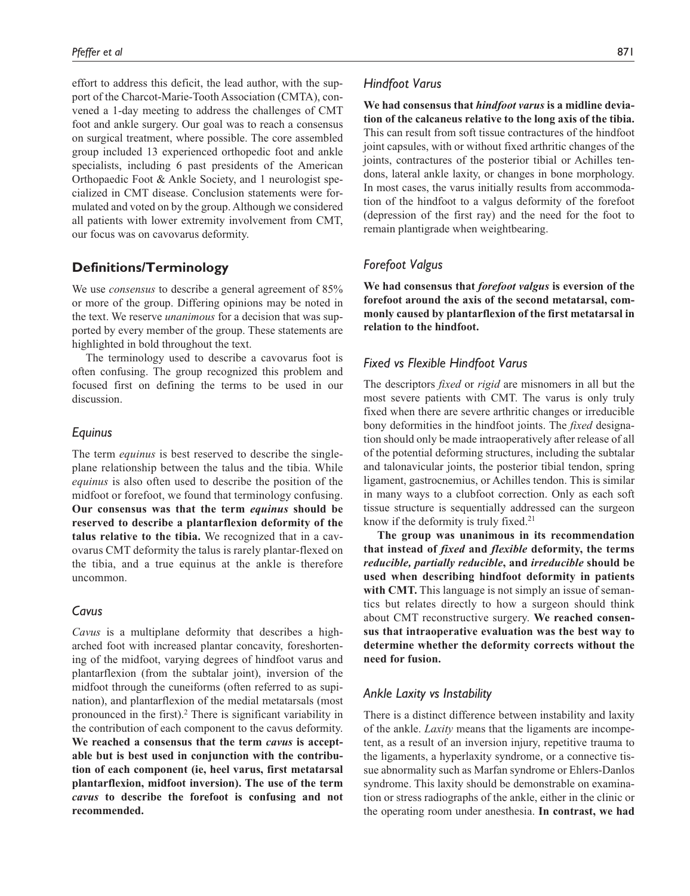effort to address this deficit, the lead author, with the support of the Charcot-Marie-Tooth Association (CMTA), convened a 1-day meeting to address the challenges of CMT foot and ankle surgery. Our goal was to reach a consensus on surgical treatment, where possible. The core assembled group included 13 experienced orthopedic foot and ankle specialists, including 6 past presidents of the American Orthopaedic Foot & Ankle Society, and 1 neurologist specialized in CMT disease. Conclusion statements were formulated and voted on by the group. Although we considered all patients with lower extremity involvement from CMT, our focus was on cavovarus deformity.

# **Definitions/Terminology**

We use *consensus* to describe a general agreement of 85% or more of the group. Differing opinions may be noted in the text. We reserve *unanimous* for a decision that was supported by every member of the group. These statements are highlighted in bold throughout the text.

The terminology used to describe a cavovarus foot is often confusing. The group recognized this problem and focused first on defining the terms to be used in our discussion.

#### *Equinus*

The term *equinus* is best reserved to describe the singleplane relationship between the talus and the tibia. While *equinus* is also often used to describe the position of the midfoot or forefoot, we found that terminology confusing. **Our consensus was that the term** *equinus* **should be reserved to describe a plantarflexion deformity of the talus relative to the tibia.** We recognized that in a cavovarus CMT deformity the talus is rarely plantar-flexed on the tibia, and a true equinus at the ankle is therefore uncommon.

### *Cavus*

*Cavus* is a multiplane deformity that describes a higharched foot with increased plantar concavity, foreshortening of the midfoot, varying degrees of hindfoot varus and plantarflexion (from the subtalar joint), inversion of the midfoot through the cuneiforms (often referred to as supination), and plantarflexion of the medial metatarsals (most pronounced in the first).<sup>2</sup> There is significant variability in the contribution of each component to the cavus deformity. **We reached a consensus that the term** *cavus* **is acceptable but is best used in conjunction with the contribution of each component (ie, heel varus, first metatarsal plantarflexion, midfoot inversion). The use of the term**  *cavus* **to describe the forefoot is confusing and not recommended.**

### *Hindfoot Varus*

**We had consensus that** *hindfoot varus* **is a midline deviation of the calcaneus relative to the long axis of the tibia.** This can result from soft tissue contractures of the hindfoot joint capsules, with or without fixed arthritic changes of the joints, contractures of the posterior tibial or Achilles tendons, lateral ankle laxity, or changes in bone morphology. In most cases, the varus initially results from accommodation of the hindfoot to a valgus deformity of the forefoot (depression of the first ray) and the need for the foot to remain plantigrade when weightbearing.

# *Forefoot Valgus*

**We had consensus that** *forefoot valgus* **is eversion of the forefoot around the axis of the second metatarsal, commonly caused by plantarflexion of the first metatarsal in relation to the hindfoot.**

# *Fixed vs Flexible Hindfoot Varus*

The descriptors *fixed* or *rigid* are misnomers in all but the most severe patients with CMT. The varus is only truly fixed when there are severe arthritic changes or irreducible bony deformities in the hindfoot joints. The *fixed* designation should only be made intraoperatively after release of all of the potential deforming structures, including the subtalar and talonavicular joints, the posterior tibial tendon, spring ligament, gastrocnemius, or Achilles tendon. This is similar in many ways to a clubfoot correction. Only as each soft tissue structure is sequentially addressed can the surgeon know if the deformity is truly fixed. $21$ 

**The group was unanimous in its recommendation that instead of** *fixed* **and** *flexible* **deformity, the terms**  *reducible, partially reducible***, and** *irreducible* **should be used when describing hindfoot deformity in patients**  with CMT. This language is not simply an issue of semantics but relates directly to how a surgeon should think about CMT reconstructive surgery. **We reached consensus that intraoperative evaluation was the best way to determine whether the deformity corrects without the need for fusion.**

# *Ankle Laxity vs Instability*

There is a distinct difference between instability and laxity of the ankle. *Laxity* means that the ligaments are incompetent, as a result of an inversion injury, repetitive trauma to the ligaments, a hyperlaxity syndrome, or a connective tissue abnormality such as Marfan syndrome or Ehlers-Danlos syndrome. This laxity should be demonstrable on examination or stress radiographs of the ankle, either in the clinic or the operating room under anesthesia. **In contrast, we had**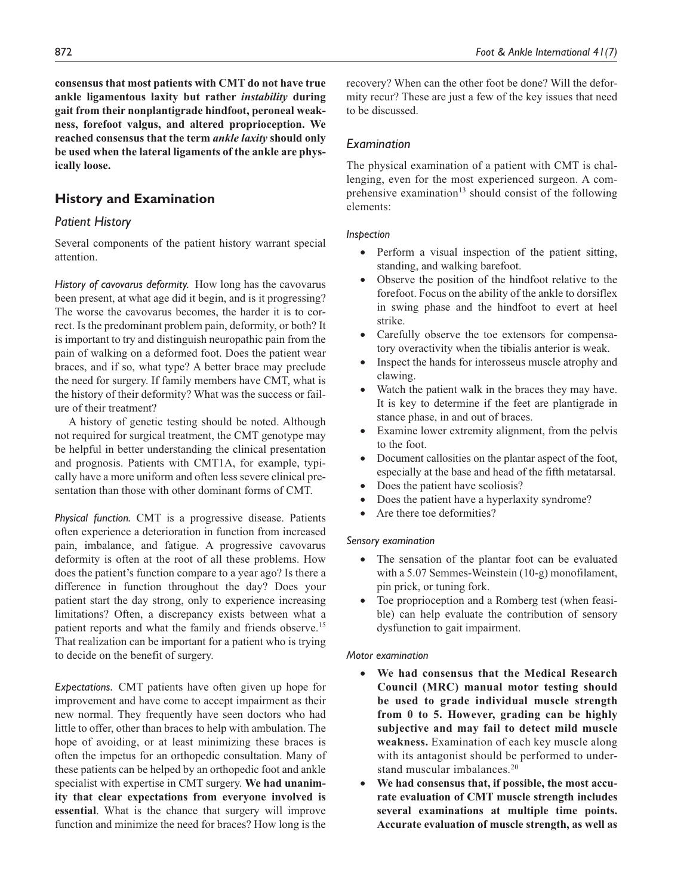**consensus that most patients with CMT do not have true ankle ligamentous laxity but rather** *instability* **during gait from their nonplantigrade hindfoot, peroneal weakness, forefoot valgus, and altered proprioception. We reached consensus that the term** *ankle laxity* **should only be used when the lateral ligaments of the ankle are physically loose.**

# **History and Examination**

# *Patient History*

Several components of the patient history warrant special attention.

*History of cavovarus deformity.* How long has the cavovarus been present, at what age did it begin, and is it progressing? The worse the cavovarus becomes, the harder it is to correct. Is the predominant problem pain, deformity, or both? It is important to try and distinguish neuropathic pain from the pain of walking on a deformed foot. Does the patient wear braces, and if so, what type? A better brace may preclude the need for surgery. If family members have CMT, what is the history of their deformity? What was the success or failure of their treatment?

A history of genetic testing should be noted. Although not required for surgical treatment, the CMT genotype may be helpful in better understanding the clinical presentation and prognosis. Patients with CMT1A, for example, typically have a more uniform and often less severe clinical presentation than those with other dominant forms of CMT.

*Physical function.* CMT is a progressive disease. Patients often experience a deterioration in function from increased pain, imbalance, and fatigue. A progressive cavovarus deformity is often at the root of all these problems. How does the patient's function compare to a year ago? Is there a difference in function throughout the day? Does your patient start the day strong, only to experience increasing limitations? Often, a discrepancy exists between what a patient reports and what the family and friends observe.<sup>15</sup> That realization can be important for a patient who is trying to decide on the benefit of surgery.

*Expectations.* CMT patients have often given up hope for improvement and have come to accept impairment as their new normal. They frequently have seen doctors who had little to offer, other than braces to help with ambulation. The hope of avoiding, or at least minimizing these braces is often the impetus for an orthopedic consultation. Many of these patients can be helped by an orthopedic foot and ankle specialist with expertise in CMT surgery. **We had unanimity that clear expectations from everyone involved is essential**. What is the chance that surgery will improve function and minimize the need for braces? How long is the

recovery? When can the other foot be done? Will the deformity recur? These are just a few of the key issues that need to be discussed.

# *Examination*

The physical examination of a patient with CMT is challenging, even for the most experienced surgeon. A comprehensive examination<sup>13</sup> should consist of the following elements:

### *Inspection*

- Perform a visual inspection of the patient sitting, standing, and walking barefoot.
- Observe the position of the hindfoot relative to the forefoot. Focus on the ability of the ankle to dorsiflex in swing phase and the hindfoot to evert at heel strike.
- Carefully observe the toe extensors for compensatory overactivity when the tibialis anterior is weak.
- Inspect the hands for interosseus muscle atrophy and clawing.
- Watch the patient walk in the braces they may have. It is key to determine if the feet are plantigrade in stance phase, in and out of braces.
- Examine lower extremity alignment, from the pelvis to the foot.
- Document callosities on the plantar aspect of the foot, especially at the base and head of the fifth metatarsal.
- Does the patient have scoliosis?
- Does the patient have a hyperlaxity syndrome?
- Are there toe deformities?

### *Sensory examination*

- The sensation of the plantar foot can be evaluated with a 5.07 Semmes-Weinstein (10-g) monofilament, pin prick, or tuning fork.
- Toe proprioception and a Romberg test (when feasible) can help evaluate the contribution of sensory dysfunction to gait impairment.

### *Motor examination*

- **We had consensus that the Medical Research Council (MRC) manual motor testing should be used to grade individual muscle strength from 0 to 5. However, grading can be highly subjective and may fail to detect mild muscle weakness.** Examination of each key muscle along with its antagonist should be performed to understand muscular imbalances.<sup>20</sup>
- **We had consensus that, if possible, the most accurate evaluation of CMT muscle strength includes several examinations at multiple time points. Accurate evaluation of muscle strength, as well as**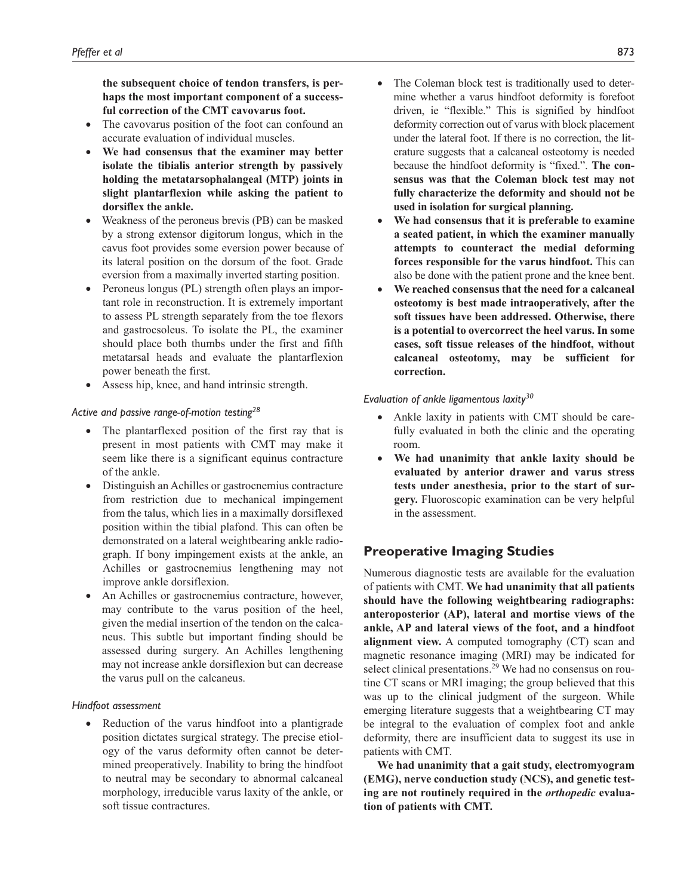**the subsequent choice of tendon transfers, is perhaps the most important component of a successful correction of the CMT cavovarus foot.**

- The cavovarus position of the foot can confound an accurate evaluation of individual muscles.
- **We had consensus that the examiner may better isolate the tibialis anterior strength by passively holding the metatarsophalangeal (MTP) joints in slight plantarflexion while asking the patient to dorsiflex the ankle.**
- Weakness of the peroneus brevis (PB) can be masked by a strong extensor digitorum longus, which in the cavus foot provides some eversion power because of its lateral position on the dorsum of the foot. Grade eversion from a maximally inverted starting position.
- Peroneus longus (PL) strength often plays an important role in reconstruction. It is extremely important to assess PL strength separately from the toe flexors and gastrocsoleus. To isolate the PL, the examiner should place both thumbs under the first and fifth metatarsal heads and evaluate the plantarflexion power beneath the first.
- Assess hip, knee, and hand intrinsic strength.

### *Active and passive range-of-motion testing28*

- The plantarflexed position of the first ray that is present in most patients with CMT may make it seem like there is a significant equinus contracture of the ankle.
- Distinguish an Achilles or gastrocnemius contracture from restriction due to mechanical impingement from the talus, which lies in a maximally dorsiflexed position within the tibial plafond. This can often be demonstrated on a lateral weightbearing ankle radiograph. If bony impingement exists at the ankle, an Achilles or gastrocnemius lengthening may not improve ankle dorsiflexion.
- An Achilles or gastrocnemius contracture, however, may contribute to the varus position of the heel, given the medial insertion of the tendon on the calcaneus. This subtle but important finding should be assessed during surgery. An Achilles lengthening may not increase ankle dorsiflexion but can decrease the varus pull on the calcaneus.

### *Hindfoot assessment*

• Reduction of the varus hindfoot into a plantigrade position dictates surgical strategy. The precise etiology of the varus deformity often cannot be determined preoperatively. Inability to bring the hindfoot to neutral may be secondary to abnormal calcaneal morphology, irreducible varus laxity of the ankle, or soft tissue contractures.

- The Coleman block test is traditionally used to determine whether a varus hindfoot deformity is forefoot driven, ie "flexible." This is signified by hindfoot deformity correction out of varus with block placement under the lateral foot. If there is no correction, the literature suggests that a calcaneal osteotomy is needed because the hindfoot deformity is "fixed.". **The consensus was that the Coleman block test may not fully characterize the deformity and should not be used in isolation for surgical planning.**
- **We had consensus that it is preferable to examine a seated patient, in which the examiner manually attempts to counteract the medial deforming forces responsible for the varus hindfoot.** This can also be done with the patient prone and the knee bent.
- **We reached consensus that the need for a calcaneal osteotomy is best made intraoperatively, after the soft tissues have been addressed. Otherwise, there is a potential to overcorrect the heel varus. In some cases, soft tissue releases of the hindfoot, without calcaneal osteotomy, may be sufficient for correction.**

#### *Evaluation of ankle ligamentous laxity30*

- Ankle laxity in patients with CMT should be carefully evaluated in both the clinic and the operating room.
- **We had unanimity that ankle laxity should be evaluated by anterior drawer and varus stress tests under anesthesia, prior to the start of surgery.** Fluoroscopic examination can be very helpful in the assessment.

# **Preoperative Imaging Studies**

Numerous diagnostic tests are available for the evaluation of patients with CMT. **We had unanimity that all patients should have the following weightbearing radiographs: anteroposterior (AP), lateral and mortise views of the ankle, AP and lateral views of the foot, and a hindfoot alignment view.** A computed tomography (CT) scan and magnetic resonance imaging (MRI) may be indicated for select clinical presentations.<sup>29</sup> We had no consensus on routine CT scans or MRI imaging; the group believed that this was up to the clinical judgment of the surgeon. While emerging literature suggests that a weightbearing CT may be integral to the evaluation of complex foot and ankle deformity, there are insufficient data to suggest its use in patients with CMT.

**We had unanimity that a gait study, electromyogram (EMG), nerve conduction study (NCS), and genetic test**ing are not routinely required in the *orthopedic* evalua**tion of patients with CMT.**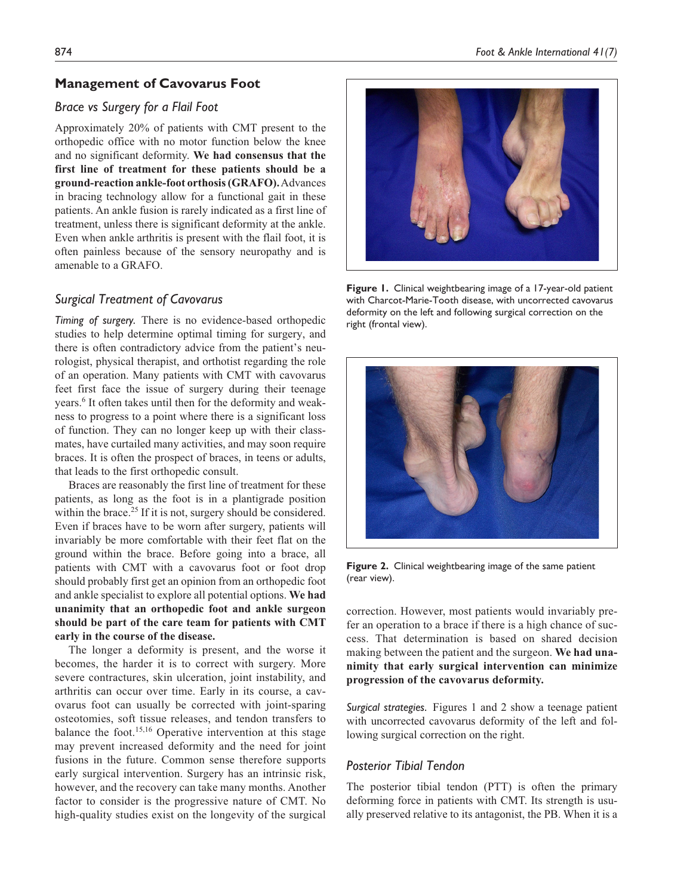# **Management of Cavovarus Foot**

### *Brace vs Surgery for a Flail Foot*

Approximately 20% of patients with CMT present to the orthopedic office with no motor function below the knee and no significant deformity. **We had consensus that the first line of treatment for these patients should be a ground-reaction ankle-foot orthosis (GRAFO).** Advances in bracing technology allow for a functional gait in these patients. An ankle fusion is rarely indicated as a first line of treatment, unless there is significant deformity at the ankle. Even when ankle arthritis is present with the flail foot, it is often painless because of the sensory neuropathy and is amenable to a GRAFO.

# *Surgical Treatment of Cavovarus*

*Timing of surgery.* There is no evidence-based orthopedic studies to help determine optimal timing for surgery, and there is often contradictory advice from the patient's neurologist, physical therapist, and orthotist regarding the role of an operation. Many patients with CMT with cavovarus feet first face the issue of surgery during their teenage years.<sup>6</sup> It often takes until then for the deformity and weakness to progress to a point where there is a significant loss of function. They can no longer keep up with their classmates, have curtailed many activities, and may soon require braces. It is often the prospect of braces, in teens or adults, that leads to the first orthopedic consult.

Braces are reasonably the first line of treatment for these patients, as long as the foot is in a plantigrade position within the brace.<sup>25</sup> If it is not, surgery should be considered. Even if braces have to be worn after surgery, patients will invariably be more comfortable with their feet flat on the ground within the brace. Before going into a brace, all patients with CMT with a cavovarus foot or foot drop should probably first get an opinion from an orthopedic foot and ankle specialist to explore all potential options. **We had unanimity that an orthopedic foot and ankle surgeon should be part of the care team for patients with CMT early in the course of the disease.**

The longer a deformity is present, and the worse it becomes, the harder it is to correct with surgery. More severe contractures, skin ulceration, joint instability, and arthritis can occur over time. Early in its course, a cavovarus foot can usually be corrected with joint-sparing osteotomies, soft tissue releases, and tendon transfers to balance the foot.<sup>15,16</sup> Operative intervention at this stage may prevent increased deformity and the need for joint fusions in the future. Common sense therefore supports early surgical intervention. Surgery has an intrinsic risk, however, and the recovery can take many months. Another factor to consider is the progressive nature of CMT. No high-quality studies exist on the longevity of the surgical

**Figure 1.** Clinical weightbearing image of a 17-year-old patient

with Charcot-Marie-Tooth disease, with uncorrected cavovarus deformity on the left and following surgical correction on the right (frontal view).



**Figure 2.** Clinical weightbearing image of the same patient (rear view).

correction. However, most patients would invariably prefer an operation to a brace if there is a high chance of success. That determination is based on shared decision making between the patient and the surgeon. **We had unanimity that early surgical intervention can minimize progression of the cavovarus deformity.**

*Surgical strategies.* Figures 1 and 2 show a teenage patient with uncorrected cavovarus deformity of the left and following surgical correction on the right.

### *Posterior Tibial Tendon*

The posterior tibial tendon (PTT) is often the primary deforming force in patients with CMT. Its strength is usually preserved relative to its antagonist, the PB. When it is a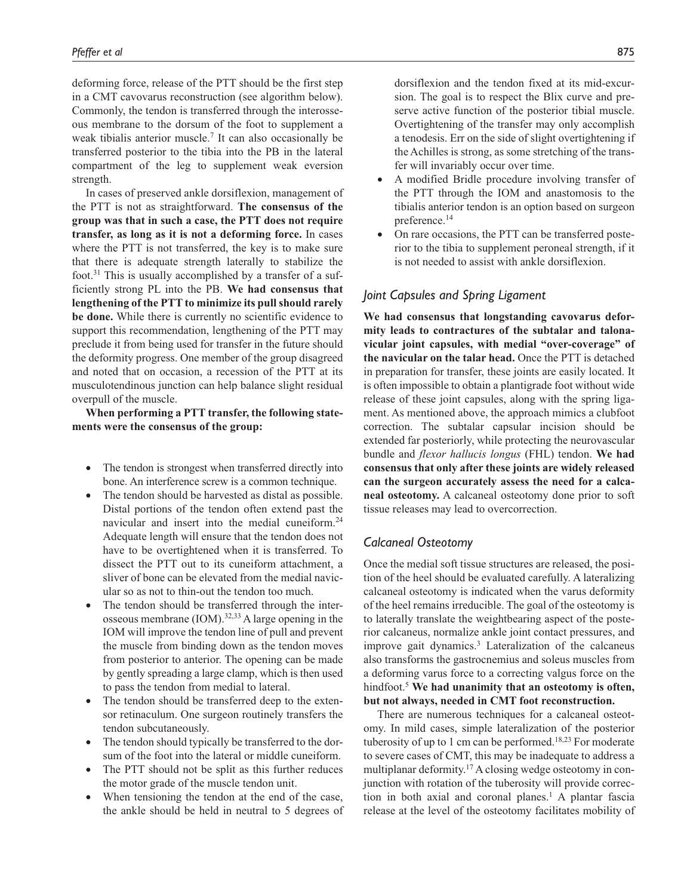deforming force, release of the PTT should be the first step in a CMT cavovarus reconstruction (see algorithm below). Commonly, the tendon is transferred through the interosseous membrane to the dorsum of the foot to supplement a weak tibialis anterior muscle.<sup>7</sup> It can also occasionally be transferred posterior to the tibia into the PB in the lateral compartment of the leg to supplement weak eversion strength.

In cases of preserved ankle dorsiflexion, management of the PTT is not as straightforward. **The consensus of the group was that in such a case, the PTT does not require transfer, as long as it is not a deforming force.** In cases where the PTT is not transferred, the key is to make sure that there is adequate strength laterally to stabilize the foot.31 This is usually accomplished by a transfer of a sufficiently strong PL into the PB. **We had consensus that lengthening of the PTT to minimize its pull should rarely be done.** While there is currently no scientific evidence to support this recommendation, lengthening of the PTT may preclude it from being used for transfer in the future should the deformity progress. One member of the group disagreed and noted that on occasion, a recession of the PTT at its musculotendinous junction can help balance slight residual overpull of the muscle.

**When performing a PTT transfer, the following statements were the consensus of the group:**

- The tendon is strongest when transferred directly into bone. An interference screw is a common technique.
- The tendon should be harvested as distal as possible. Distal portions of the tendon often extend past the navicular and insert into the medial cuneiform.<sup>24</sup> Adequate length will ensure that the tendon does not have to be overtightened when it is transferred. To dissect the PTT out to its cuneiform attachment, a sliver of bone can be elevated from the medial navicular so as not to thin-out the tendon too much.
- The tendon should be transferred through the interosseous membrane  $(IOM).$ <sup>32,33</sup> A large opening in the IOM will improve the tendon line of pull and prevent the muscle from binding down as the tendon moves from posterior to anterior. The opening can be made by gently spreading a large clamp, which is then used to pass the tendon from medial to lateral.
- The tendon should be transferred deep to the extensor retinaculum. One surgeon routinely transfers the tendon subcutaneously.
- The tendon should typically be transferred to the dorsum of the foot into the lateral or middle cuneiform.
- The PTT should not be split as this further reduces the motor grade of the muscle tendon unit.
- When tensioning the tendon at the end of the case, the ankle should be held in neutral to 5 degrees of

dorsiflexion and the tendon fixed at its mid-excursion. The goal is to respect the Blix curve and preserve active function of the posterior tibial muscle. Overtightening of the transfer may only accomplish a tenodesis. Err on the side of slight overtightening if the Achilles is strong, as some stretching of the transfer will invariably occur over time.

- A modified Bridle procedure involving transfer of the PTT through the IOM and anastomosis to the tibialis anterior tendon is an option based on surgeon preference.14
- On rare occasions, the PTT can be transferred posterior to the tibia to supplement peroneal strength, if it is not needed to assist with ankle dorsiflexion.

# *Joint Capsules and Spring Ligament*

**We had consensus that longstanding cavovarus deformity leads to contractures of the subtalar and talonavicular joint capsules, with medial "over-coverage" of the navicular on the talar head.** Once the PTT is detached in preparation for transfer, these joints are easily located. It is often impossible to obtain a plantigrade foot without wide release of these joint capsules, along with the spring ligament. As mentioned above, the approach mimics a clubfoot correction. The subtalar capsular incision should be extended far posteriorly, while protecting the neurovascular bundle and *flexor hallucis longus* (FHL) tendon. **We had consensus that only after these joints are widely released can the surgeon accurately assess the need for a calcaneal osteotomy.** A calcaneal osteotomy done prior to soft tissue releases may lead to overcorrection.

### *Calcaneal Osteotomy*

Once the medial soft tissue structures are released, the position of the heel should be evaluated carefully. A lateralizing calcaneal osteotomy is indicated when the varus deformity of the heel remains irreducible. The goal of the osteotomy is to laterally translate the weightbearing aspect of the posterior calcaneus, normalize ankle joint contact pressures, and improve gait dynamics.<sup>3</sup> Lateralization of the calcaneus also transforms the gastrocnemius and soleus muscles from a deforming varus force to a correcting valgus force on the hindfoot.5 **We had unanimity that an osteotomy is often, but not always, needed in CMT foot reconstruction.**

There are numerous techniques for a calcaneal osteotomy. In mild cases, simple lateralization of the posterior tuberosity of up to 1 cm can be performed.<sup>18,23</sup> For moderate to severe cases of CMT, this may be inadequate to address a multiplanar deformity.<sup>17</sup> A closing wedge osteotomy in conjunction with rotation of the tuberosity will provide correction in both axial and coronal planes.<sup>1</sup> A plantar fascia release at the level of the osteotomy facilitates mobility of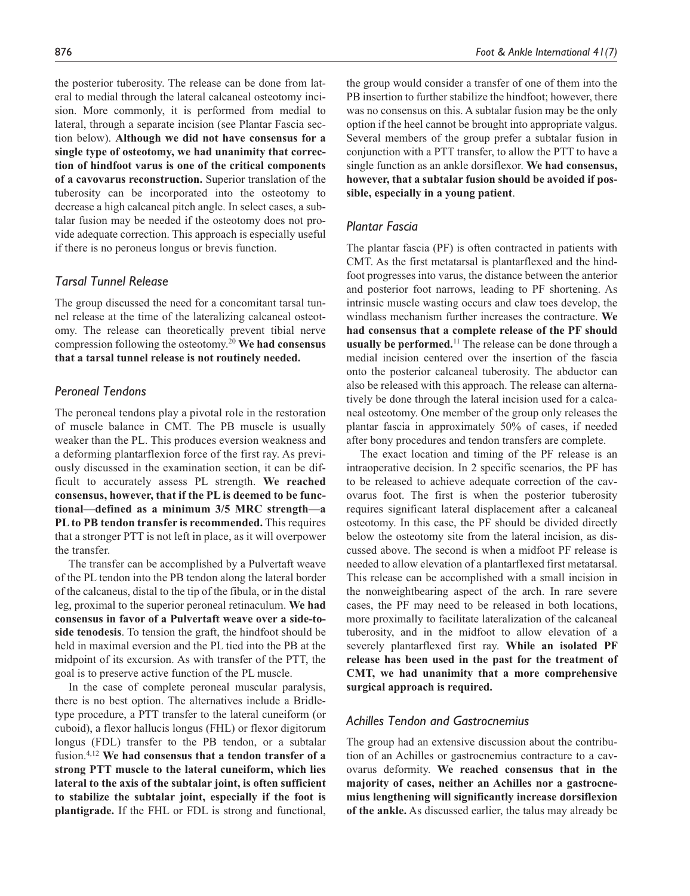the posterior tuberosity. The release can be done from lateral to medial through the lateral calcaneal osteotomy incision. More commonly, it is performed from medial to lateral, through a separate incision (see Plantar Fascia section below). **Although we did not have consensus for a single type of osteotomy, we had unanimity that correction of hindfoot varus is one of the critical components of a cavovarus reconstruction.** Superior translation of the tuberosity can be incorporated into the osteotomy to decrease a high calcaneal pitch angle. In select cases, a subtalar fusion may be needed if the osteotomy does not provide adequate correction. This approach is especially useful if there is no peroneus longus or brevis function.

# *Tarsal Tunnel Release*

The group discussed the need for a concomitant tarsal tunnel release at the time of the lateralizing calcaneal osteotomy. The release can theoretically prevent tibial nerve compression following the osteotomy.20 **We had consensus that a tarsal tunnel release is not routinely needed.**

# *Peroneal Tendons*

The peroneal tendons play a pivotal role in the restoration of muscle balance in CMT. The PB muscle is usually weaker than the PL. This produces eversion weakness and a deforming plantarflexion force of the first ray. As previously discussed in the examination section, it can be difficult to accurately assess PL strength. **We reached consensus, however, that if the PL is deemed to be functional—defined as a minimum 3/5 MRC strength—a PL to PB tendon transfer is recommended.** This requires that a stronger PTT is not left in place, as it will overpower the transfer.

The transfer can be accomplished by a Pulvertaft weave of the PL tendon into the PB tendon along the lateral border of the calcaneus, distal to the tip of the fibula, or in the distal leg, proximal to the superior peroneal retinaculum. **We had consensus in favor of a Pulvertaft weave over a side-toside tenodesis**. To tension the graft, the hindfoot should be held in maximal eversion and the PL tied into the PB at the midpoint of its excursion. As with transfer of the PTT, the goal is to preserve active function of the PL muscle.

In the case of complete peroneal muscular paralysis, there is no best option. The alternatives include a Bridletype procedure, a PTT transfer to the lateral cuneiform (or cuboid), a flexor hallucis longus (FHL) or flexor digitorum longus (FDL) transfer to the PB tendon, or a subtalar fusion.4,12 **We had consensus that a tendon transfer of a strong PTT muscle to the lateral cuneiform, which lies lateral to the axis of the subtalar joint, is often sufficient to stabilize the subtalar joint, especially if the foot is plantigrade.** If the FHL or FDL is strong and functional, the group would consider a transfer of one of them into the PB insertion to further stabilize the hindfoot; however, there was no consensus on this. A subtalar fusion may be the only option if the heel cannot be brought into appropriate valgus. Several members of the group prefer a subtalar fusion in conjunction with a PTT transfer, to allow the PTT to have a single function as an ankle dorsiflexor. **We had consensus, however, that a subtalar fusion should be avoided if possible, especially in a young patient**.

### *Plantar Fascia*

The plantar fascia (PF) is often contracted in patients with CMT. As the first metatarsal is plantarflexed and the hindfoot progresses into varus, the distance between the anterior and posterior foot narrows, leading to PF shortening. As intrinsic muscle wasting occurs and claw toes develop, the windlass mechanism further increases the contracture. **We had consensus that a complete release of the PF should usually be performed.**11 The release can be done through a medial incision centered over the insertion of the fascia onto the posterior calcaneal tuberosity. The abductor can also be released with this approach. The release can alternatively be done through the lateral incision used for a calcaneal osteotomy. One member of the group only releases the plantar fascia in approximately 50% of cases, if needed after bony procedures and tendon transfers are complete.

The exact location and timing of the PF release is an intraoperative decision. In 2 specific scenarios, the PF has to be released to achieve adequate correction of the cavovarus foot. The first is when the posterior tuberosity requires significant lateral displacement after a calcaneal osteotomy. In this case, the PF should be divided directly below the osteotomy site from the lateral incision, as discussed above. The second is when a midfoot PF release is needed to allow elevation of a plantarflexed first metatarsal. This release can be accomplished with a small incision in the nonweightbearing aspect of the arch. In rare severe cases, the PF may need to be released in both locations, more proximally to facilitate lateralization of the calcaneal tuberosity, and in the midfoot to allow elevation of a severely plantarflexed first ray. **While an isolated PF release has been used in the past for the treatment of CMT, we had unanimity that a more comprehensive surgical approach is required.**

# *Achilles Tendon and Gastrocnemius*

The group had an extensive discussion about the contribution of an Achilles or gastrocnemius contracture to a cavovarus deformity. **We reached consensus that in the majority of cases, neither an Achilles nor a gastrocnemius lengthening will significantly increase dorsiflexion of the ankle.** As discussed earlier, the talus may already be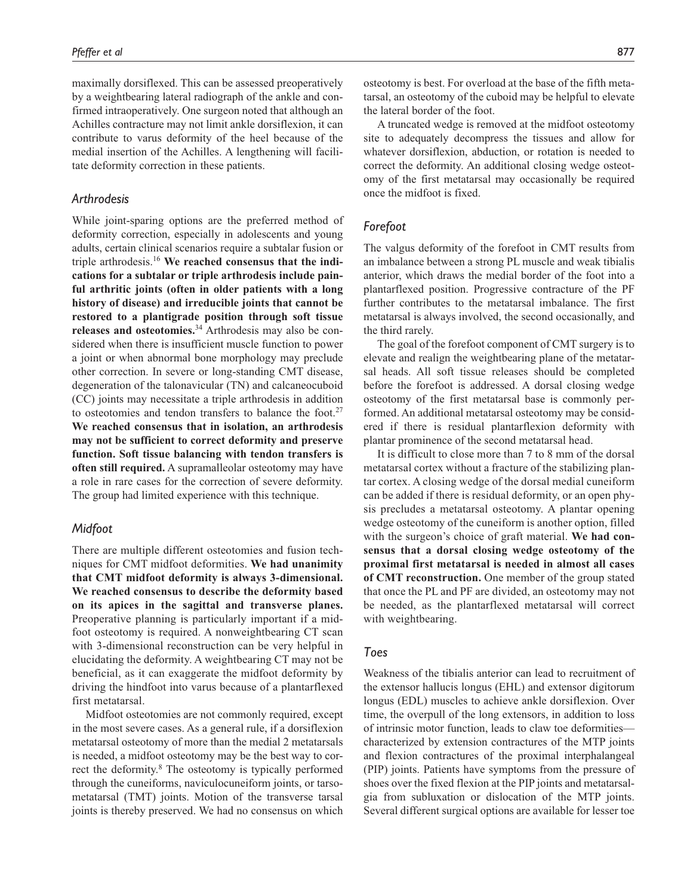maximally dorsiflexed. This can be assessed preoperatively by a weightbearing lateral radiograph of the ankle and confirmed intraoperatively. One surgeon noted that although an Achilles contracture may not limit ankle dorsiflexion, it can contribute to varus deformity of the heel because of the medial insertion of the Achilles. A lengthening will facilitate deformity correction in these patients.

#### *Arthrodesis*

While joint-sparing options are the preferred method of deformity correction, especially in adolescents and young adults, certain clinical scenarios require a subtalar fusion or triple arthrodesis.16 **We reached consensus that the indications for a subtalar or triple arthrodesis include painful arthritic joints (often in older patients with a long history of disease) and irreducible joints that cannot be restored to a plantigrade position through soft tissue releases and osteotomies.**34 Arthrodesis may also be considered when there is insufficient muscle function to power a joint or when abnormal bone morphology may preclude other correction. In severe or long-standing CMT disease, degeneration of the talonavicular (TN) and calcaneocuboid (CC) joints may necessitate a triple arthrodesis in addition to osteotomies and tendon transfers to balance the foot.<sup>27</sup> **We reached consensus that in isolation, an arthrodesis may not be sufficient to correct deformity and preserve function. Soft tissue balancing with tendon transfers is often still required.** A supramalleolar osteotomy may have a role in rare cases for the correction of severe deformity. The group had limited experience with this technique.

# *Midfoot*

There are multiple different osteotomies and fusion techniques for CMT midfoot deformities. **We had unanimity that CMT midfoot deformity is always 3-dimensional. We reached consensus to describe the deformity based on its apices in the sagittal and transverse planes.** Preoperative planning is particularly important if a midfoot osteotomy is required. A nonweightbearing CT scan with 3-dimensional reconstruction can be very helpful in elucidating the deformity. A weightbearing CT may not be beneficial, as it can exaggerate the midfoot deformity by driving the hindfoot into varus because of a plantarflexed first metatarsal.

Midfoot osteotomies are not commonly required, except in the most severe cases. As a general rule, if a dorsiflexion metatarsal osteotomy of more than the medial 2 metatarsals is needed, a midfoot osteotomy may be the best way to correct the deformity.<sup>8</sup> The osteotomy is typically performed through the cuneiforms, naviculocuneiform joints, or tarsometatarsal (TMT) joints. Motion of the transverse tarsal joints is thereby preserved. We had no consensus on which

A truncated wedge is removed at the midfoot osteotomy site to adequately decompress the tissues and allow for whatever dorsiflexion, abduction, or rotation is needed to correct the deformity. An additional closing wedge osteotomy of the first metatarsal may occasionally be required once the midfoot is fixed.

### *Forefoot*

The valgus deformity of the forefoot in CMT results from an imbalance between a strong PL muscle and weak tibialis anterior, which draws the medial border of the foot into a plantarflexed position. Progressive contracture of the PF further contributes to the metatarsal imbalance. The first metatarsal is always involved, the second occasionally, and the third rarely.

The goal of the forefoot component of CMT surgery is to elevate and realign the weightbearing plane of the metatarsal heads. All soft tissue releases should be completed before the forefoot is addressed. A dorsal closing wedge osteotomy of the first metatarsal base is commonly performed. An additional metatarsal osteotomy may be considered if there is residual plantarflexion deformity with plantar prominence of the second metatarsal head.

It is difficult to close more than 7 to 8 mm of the dorsal metatarsal cortex without a fracture of the stabilizing plantar cortex. A closing wedge of the dorsal medial cuneiform can be added if there is residual deformity, or an open physis precludes a metatarsal osteotomy. A plantar opening wedge osteotomy of the cuneiform is another option, filled with the surgeon's choice of graft material. **We had consensus that a dorsal closing wedge osteotomy of the proximal first metatarsal is needed in almost all cases of CMT reconstruction.** One member of the group stated that once the PL and PF are divided, an osteotomy may not be needed, as the plantarflexed metatarsal will correct with weightbearing.

### *Toes*

Weakness of the tibialis anterior can lead to recruitment of the extensor hallucis longus (EHL) and extensor digitorum longus (EDL) muscles to achieve ankle dorsiflexion. Over time, the overpull of the long extensors, in addition to loss of intrinsic motor function, leads to claw toe deformities characterized by extension contractures of the MTP joints and flexion contractures of the proximal interphalangeal (PIP) joints. Patients have symptoms from the pressure of shoes over the fixed flexion at the PIP joints and metatarsalgia from subluxation or dislocation of the MTP joints. Several different surgical options are available for lesser toe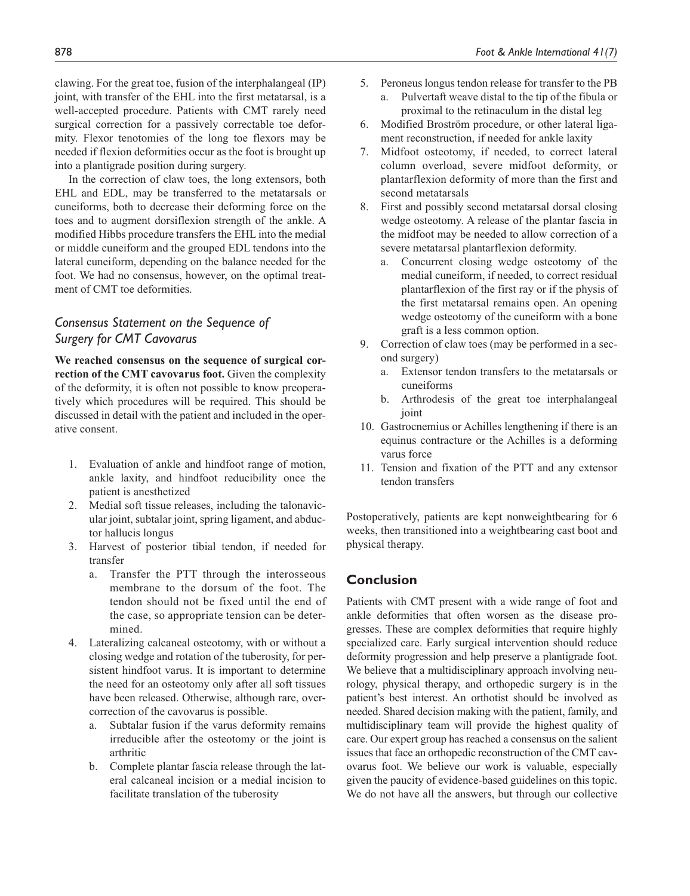clawing. For the great toe, fusion of the interphalangeal (IP) joint, with transfer of the EHL into the first metatarsal, is a well-accepted procedure. Patients with CMT rarely need surgical correction for a passively correctable toe deformity. Flexor tenotomies of the long toe flexors may be needed if flexion deformities occur as the foot is brought up into a plantigrade position during surgery.

In the correction of claw toes, the long extensors, both EHL and EDL, may be transferred to the metatarsals or cuneiforms, both to decrease their deforming force on the toes and to augment dorsiflexion strength of the ankle. A modified Hibbs procedure transfers the EHL into the medial or middle cuneiform and the grouped EDL tendons into the lateral cuneiform, depending on the balance needed for the foot. We had no consensus, however, on the optimal treatment of CMT toe deformities.

# *Consensus Statement on the Sequence of Surgery for CMT Cavovarus*

**We reached consensus on the sequence of surgical correction of the CMT cavovarus foot.** Given the complexity of the deformity, it is often not possible to know preoperatively which procedures will be required. This should be discussed in detail with the patient and included in the operative consent.

- 1. Evaluation of ankle and hindfoot range of motion, ankle laxity, and hindfoot reducibility once the patient is anesthetized
- 2. Medial soft tissue releases, including the talonavicular joint, subtalar joint, spring ligament, and abductor hallucis longus
- 3. Harvest of posterior tibial tendon, if needed for transfer
	- a. Transfer the PTT through the interosseous membrane to the dorsum of the foot. The tendon should not be fixed until the end of the case, so appropriate tension can be determined.
- 4. Lateralizing calcaneal osteotomy, with or without a closing wedge and rotation of the tuberosity, for persistent hindfoot varus. It is important to determine the need for an osteotomy only after all soft tissues have been released. Otherwise, although rare, overcorrection of the cavovarus is possible.
	- a. Subtalar fusion if the varus deformity remains irreducible after the osteotomy or the joint is arthritic
	- b. Complete plantar fascia release through the lateral calcaneal incision or a medial incision to facilitate translation of the tuberosity
- 5. Peroneus longus tendon release for transfer to the PB
	- a. Pulvertaft weave distal to the tip of the fibula or proximal to the retinaculum in the distal leg
- 6. Modified Broström procedure, or other lateral ligament reconstruction, if needed for ankle laxity
- 7. Midfoot osteotomy, if needed, to correct lateral column overload, severe midfoot deformity, or plantarflexion deformity of more than the first and second metatarsals
- 8. First and possibly second metatarsal dorsal closing wedge osteotomy. A release of the plantar fascia in the midfoot may be needed to allow correction of a severe metatarsal plantarflexion deformity.
	- a. Concurrent closing wedge osteotomy of the medial cuneiform, if needed, to correct residual plantarflexion of the first ray or if the physis of the first metatarsal remains open. An opening wedge osteotomy of the cuneiform with a bone graft is a less common option.
- 9. Correction of claw toes (may be performed in a second surgery)
	- a. Extensor tendon transfers to the metatarsals or cuneiforms
	- b. Arthrodesis of the great toe interphalangeal joint
- 10. Gastrocnemius or Achilles lengthening if there is an equinus contracture or the Achilles is a deforming varus force
- 11. Tension and fixation of the PTT and any extensor tendon transfers

Postoperatively, patients are kept nonweightbearing for 6 weeks, then transitioned into a weightbearing cast boot and physical therapy.

# **Conclusion**

Patients with CMT present with a wide range of foot and ankle deformities that often worsen as the disease progresses. These are complex deformities that require highly specialized care. Early surgical intervention should reduce deformity progression and help preserve a plantigrade foot. We believe that a multidisciplinary approach involving neurology, physical therapy, and orthopedic surgery is in the patient's best interest. An orthotist should be involved as needed. Shared decision making with the patient, family, and multidisciplinary team will provide the highest quality of care. Our expert group has reached a consensus on the salient issues that face an orthopedic reconstruction of the CMT cavovarus foot. We believe our work is valuable, especially given the paucity of evidence-based guidelines on this topic. We do not have all the answers, but through our collective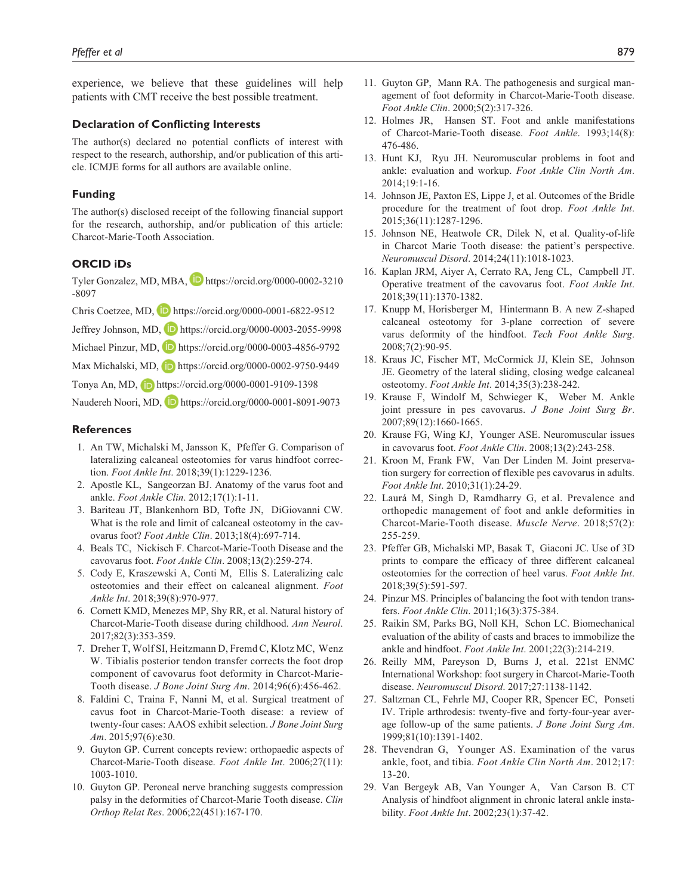experience, we believe that these guidelines will help patients with CMT receive the best possible treatment.

#### **Declaration of Conflicting Interests**

The author(s) declared no potential conflicts of interest with respect to the research, authorship, and/or publication of this article. ICMJE forms for all authors are available online.

### **Funding**

The author(s) disclosed receipt of the following financial support for the research, authorship, and/or publication of this article: Charcot-Marie-Tooth Association.

### **ORCID iDs**

Tyler Gonzalez, MD, MBA,  $\Box$  [https://orcid.org/0000-0002-3210](https://orcid.org/0000-0002-3210-8097) [-8097](https://orcid.org/0000-0002-3210-8097)

Chris Coetzee, MD, D <https://orcid.org/0000-0001-6822-9512>

Jeffrey Johnson, MD, D <https://orcid.org/0000-0003-2055-9998>

Michael Pinzur, MD, D <https://orcid.org/0000-0003-4856-9792>

Max Michalski, MD, D <https://orcid.org/0000-0002-9750-9449>

Tonya An, MD, **D** <https://orcid.org/0000-0001-9109-1398>

Naudereh Noori, MD, D<https://orcid.org/0000-0001-8091-9073>

#### **References**

- 1. An TW, Michalski M, Jansson K, Pfeffer G. Comparison of lateralizing calcaneal osteotomies for varus hindfoot correction. *Foot Ankle Int*. 2018;39(1):1229-1236.
- 2. Apostle KL, Sangeorzan BJ. Anatomy of the varus foot and ankle. *Foot Ankle Clin*. 2012;17(1):1-11.
- 3. Bariteau JT, Blankenhorn BD, Tofte JN, DiGiovanni CW. What is the role and limit of calcaneal osteotomy in the cavovarus foot? *Foot Ankle Clin*. 2013;18(4):697-714.
- 4. Beals TC, Nickisch F. Charcot-Marie-Tooth Disease and the cavovarus foot. *Foot Ankle Clin*. 2008;13(2):259-274.
- 5. Cody E, Kraszewski A, Conti M, Ellis S. Lateralizing calc osteotomies and their effect on calcaneal alignment. *Foot Ankle Int*. 2018;39(8):970-977.
- 6. Cornett KMD, Menezes MP, Shy RR, et al. Natural history of Charcot-Marie-Tooth disease during childhood. *Ann Neurol*. 2017;82(3):353-359.
- 7. Dreher T, Wolf SI, Heitzmann D, Fremd C, Klotz MC, Wenz W. Tibialis posterior tendon transfer corrects the foot drop component of cavovarus foot deformity in Charcot-Marie-Tooth disease. *J Bone Joint Surg Am*. 2014;96(6):456-462.
- 8. Faldini C, Traina F, Nanni M, et al. Surgical treatment of cavus foot in Charcot-Marie-Tooth disease: a review of twenty-four cases: AAOS exhibit selection. *J Bone Joint Surg Am*. 2015;97(6):e30.
- 9. Guyton GP. Current concepts review: orthopaedic aspects of Charcot-Marie-Tooth disease. *Foot Ankle Int*. 2006;27(11): 1003-1010.
- 10. Guyton GP. Peroneal nerve branching suggests compression palsy in the deformities of Charcot-Marie Tooth disease. *Clin Orthop Relat Res*. 2006;22(451):167-170.
- 11. Guyton GP, Mann RA. The pathogenesis and surgical management of foot deformity in Charcot-Marie-Tooth disease. *Foot Ankle Clin*. 2000;5(2):317-326.
- 12. Holmes JR, Hansen ST. Foot and ankle manifestations of Charcot-Marie-Tooth disease. *Foot Ankle*. 1993;14(8): 476-486.
- 13. Hunt KJ, Ryu JH. Neuromuscular problems in foot and ankle: evaluation and workup. *Foot Ankle Clin North Am*. 2014;19:1-16.
- 14. Johnson JE, Paxton ES, Lippe J, et al. Outcomes of the Bridle procedure for the treatment of foot drop. *Foot Ankle Int*. 2015;36(11):1287-1296.
- 15. Johnson NE, Heatwole CR, Dilek N, et al. Quality-of-life in Charcot Marie Tooth disease: the patient's perspective. *Neuromuscul Disord*. 2014;24(11):1018-1023.
- 16. Kaplan JRM, Aiyer A, Cerrato RA, Jeng CL, Campbell JT. Operative treatment of the cavovarus foot. *Foot Ankle Int*. 2018;39(11):1370-1382.
- 17. Knupp M, Horisberger M, Hintermann B. A new Z-shaped calcaneal osteotomy for 3-plane correction of severe varus deformity of the hindfoot. *Tech Foot Ankle Surg*. 2008;7(2):90-95.
- 18. Kraus JC, Fischer MT, McCormick JJ, Klein SE, Johnson JE. Geometry of the lateral sliding, closing wedge calcaneal osteotomy. *Foot Ankle Int*. 2014;35(3):238-242.
- 19. Krause F, Windolf M, Schwieger K, Weber M. Ankle joint pressure in pes cavovarus. *J Bone Joint Surg Br*. 2007;89(12):1660-1665.
- 20. Krause FG, Wing KJ, Younger ASE. Neuromuscular issues in cavovarus foot. *Foot Ankle Clin*. 2008;13(2):243-258.
- 21. Kroon M, Frank FW, Van Der Linden M. Joint preservation surgery for correction of flexible pes cavovarus in adults. *Foot Ankle Int*. 2010;31(1):24-29.
- 22. Laurá M, Singh D, Ramdharry G, et al. Prevalence and orthopedic management of foot and ankle deformities in Charcot-Marie-Tooth disease. *Muscle Nerve*. 2018;57(2): 255-259.
- 23. Pfeffer GB, Michalski MP, Basak T, Giaconi JC. Use of 3D prints to compare the efficacy of three different calcaneal osteotomies for the correction of heel varus. *Foot Ankle Int*. 2018;39(5):591-597.
- 24. Pinzur MS. Principles of balancing the foot with tendon transfers. *Foot Ankle Clin*. 2011;16(3):375-384.
- 25. Raikin SM, Parks BG, Noll KH, Schon LC. Biomechanical evaluation of the ability of casts and braces to immobilize the ankle and hindfoot. *Foot Ankle Int*. 2001;22(3):214-219.
- 26. Reilly MM, Pareyson D, Burns J, et al. 221st ENMC International Workshop: foot surgery in Charcot-Marie-Tooth disease. *Neuromuscul Disord*. 2017;27:1138-1142.
- 27. Saltzman CL, Fehrle MJ, Cooper RR, Spencer EC, Ponseti IV. Triple arthrodesis: twenty-five and forty-four-year average follow-up of the same patients. *J Bone Joint Surg Am*. 1999;81(10):1391-1402.
- 28. Thevendran G, Younger AS. Examination of the varus ankle, foot, and tibia. *Foot Ankle Clin North Am*. 2012;17: 13-20.
- 29. Van Bergeyk AB, Van Younger A, Van Carson B. CT Analysis of hindfoot alignment in chronic lateral ankle instability. *Foot Ankle Int*. 2002;23(1):37-42.